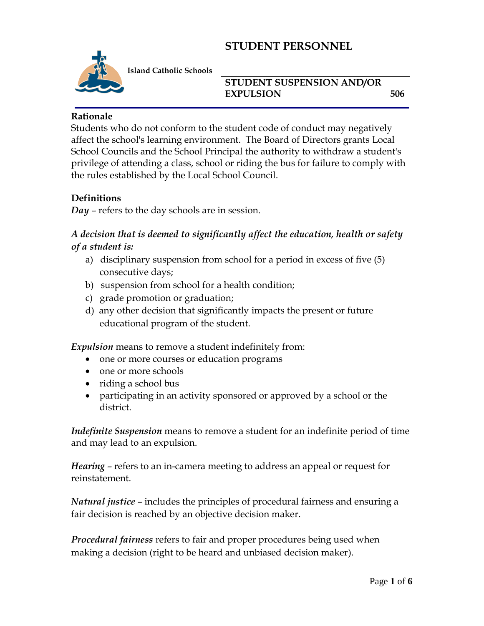

**Island Catholic Schools** 

### **STUDENT SUSPENSION AND/OR EXPULSION 506**

#### **Rationale**

Students who do not conform to the student code of conduct may negatively affect the school's learning environment. The Board of Directors grants Local School Councils and the School Principal the authority to withdraw a student's privilege of attending a class, school or riding the bus for failure to comply with the rules established by the Local School Council.

#### **Definitions**

*Day* – refers to the day schools are in session.

# *A decision that is deemed to significantly affect the education, health or safety of a student is:*

- a) disciplinary suspension from school for a period in excess of five (5) consecutive days;
- b) suspension from school for a health condition;
- c) grade promotion or graduation;
- d) any other decision that significantly impacts the present or future educational program of the student.

*Expulsion* means to remove a student indefinitely from:

- one or more courses or education programs
- one or more schools
- riding a school bus
- participating in an activity sponsored or approved by a school or the district.

*Indefinite Suspension* means to remove a student for an indefinite period of time and may lead to an expulsion.

*Hearing* – refers to an in-camera meeting to address an appeal or request for reinstatement.

*Natural justice* – includes the principles of procedural fairness and ensuring a fair decision is reached by an objective decision maker.

*Procedural fairness* refers to fair and proper procedures being used when making a decision (right to be heard and unbiased decision maker).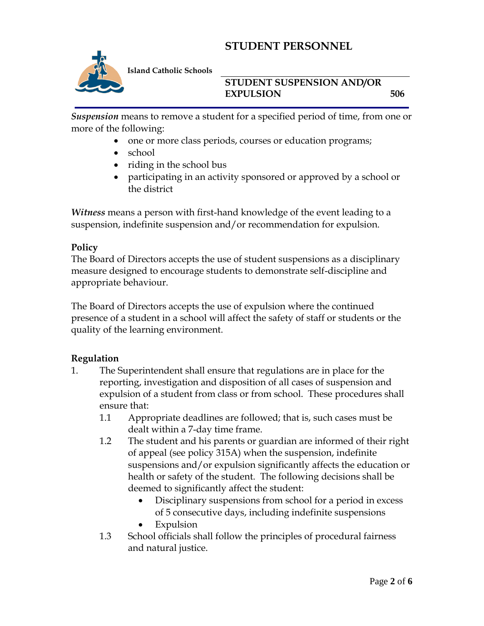

**Island Catholic Schools** 

### **STUDENT SUSPENSION AND/OR EXPULSION 506**

*Suspension* means to remove a student for a specified period of time, from one or more of the following:

- one or more class periods, courses or education programs;
- school
- riding in the school bus
- participating in an activity sponsored or approved by a school or the district

*Witness* means a person with first-hand knowledge of the event leading to a suspension, indefinite suspension and/or recommendation for expulsion.

### **Policy**

The Board of Directors accepts the use of student suspensions as a disciplinary measure designed to encourage students to demonstrate self-discipline and appropriate behaviour.

The Board of Directors accepts the use of expulsion where the continued presence of a student in a school will affect the safety of staff or students or the quality of the learning environment.

# **Regulation**

- 1. The Superintendent shall ensure that regulations are in place for the reporting, investigation and disposition of all cases of suspension and expulsion of a student from class or from school. These procedures shall ensure that:
	- 1.1 Appropriate deadlines are followed; that is, such cases must be dealt within a 7-day time frame.
	- 1.2 The student and his parents or guardian are informed of their right of appeal (see policy 315A) when the suspension, indefinite suspensions and/or expulsion significantly affects the education or health or safety of the student. The following decisions shall be deemed to significantly affect the student:
		- Disciplinary suspensions from school for a period in excess of 5 consecutive days, including indefinite suspensions
		- Expulsion
	- 1.3 School officials shall follow the principles of procedural fairness and natural justice.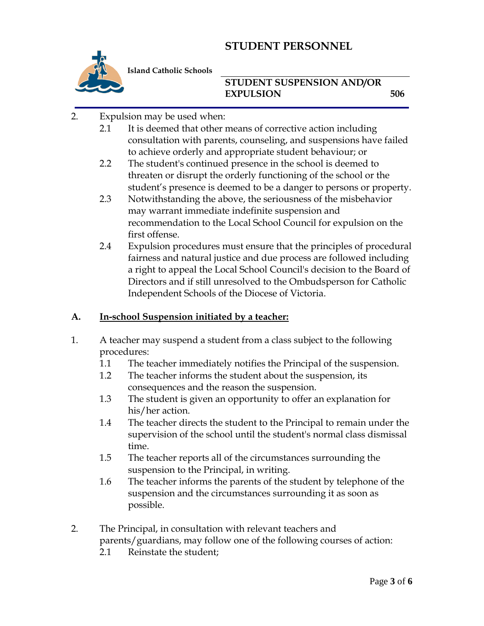

**Island Catholic Schools** 

# **STUDENT SUSPENSION AND/OR EXPULSION 506**

- 2. Expulsion may be used when:
	- 2.1 It is deemed that other means of corrective action including consultation with parents, counseling, and suspensions have failed to achieve orderly and appropriate student behaviour; or
	- 2.2 The student's continued presence in the school is deemed to threaten or disrupt the orderly functioning of the school or the student's presence is deemed to be a danger to persons or property.
	- 2.3 Notwithstanding the above, the seriousness of the misbehavior may warrant immediate indefinite suspension and recommendation to the Local School Council for expulsion on the first offense.
	- 2.4 Expulsion procedures must ensure that the principles of procedural fairness and natural justice and due process are followed including a right to appeal the Local School Council's decision to the Board of Directors and if still unresolved to the Ombudsperson for Catholic Independent Schools of the Diocese of Victoria.

### **A. In-school Suspension initiated by a teacher:**

- 1. A teacher may suspend a student from a class subject to the following procedures:
	- 1.1 The teacher immediately notifies the Principal of the suspension.
	- 1.2 The teacher informs the student about the suspension, its consequences and the reason the suspension.
	- 1.3 The student is given an opportunity to offer an explanation for his/her action.
	- 1.4 The teacher directs the student to the Principal to remain under the supervision of the school until the student's normal class dismissal time.
	- 1.5 The teacher reports all of the circumstances surrounding the suspension to the Principal, in writing.
	- 1.6 The teacher informs the parents of the student by telephone of the suspension and the circumstances surrounding it as soon as possible.
- 2. The Principal, in consultation with relevant teachers and parents/guardians, may follow one of the following courses of action:
	- 2.1 Reinstate the student;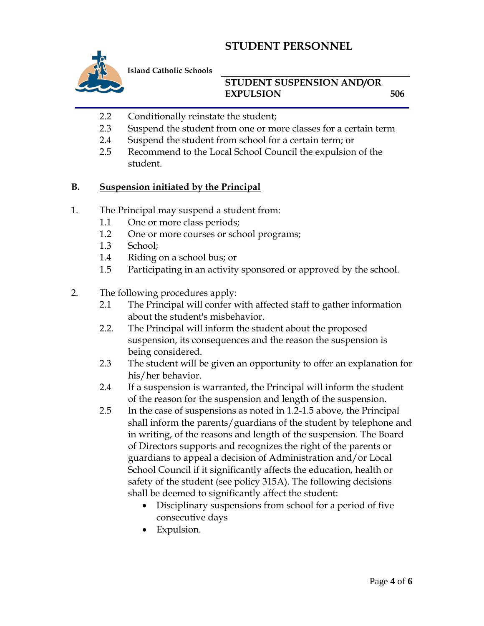

**Island Catholic Schools** 

### **STUDENT SUSPENSION AND/OR EXPULSION 506**

- 2.2 Conditionally reinstate the student;
- 2.3 Suspend the student from one or more classes for a certain term
- 2.4 Suspend the student from school for a certain term; or
- 2.5 Recommend to the Local School Council the expulsion of the student.

#### **B. Suspension initiated by the Principal**

- 1. The Principal may suspend a student from:
	- 1.1 One or more class periods;
	- 1.2 One or more courses or school programs;
	- 1.3 School;
	- 1.4 Riding on a school bus; or
	- 1.5 Participating in an activity sponsored or approved by the school.
- 2. The following procedures apply:
	- 2.1 The Principal will confer with affected staff to gather information about the student's misbehavior.
	- 2.2. The Principal will inform the student about the proposed suspension, its consequences and the reason the suspension is being considered.
	- 2.3 The student will be given an opportunity to offer an explanation for his/her behavior.
	- 2.4 If a suspension is warranted, the Principal will inform the student of the reason for the suspension and length of the suspension.
	- 2.5 In the case of suspensions as noted in 1.2-1.5 above, the Principal shall inform the parents/guardians of the student by telephone and in writing, of the reasons and length of the suspension. The Board of Directors supports and recognizes the right of the parents or guardians to appeal a decision of Administration and/or Local School Council if it significantly affects the education, health or safety of the student (see policy 315A). The following decisions shall be deemed to significantly affect the student:
		- Disciplinary suspensions from school for a period of five consecutive days
		- Expulsion.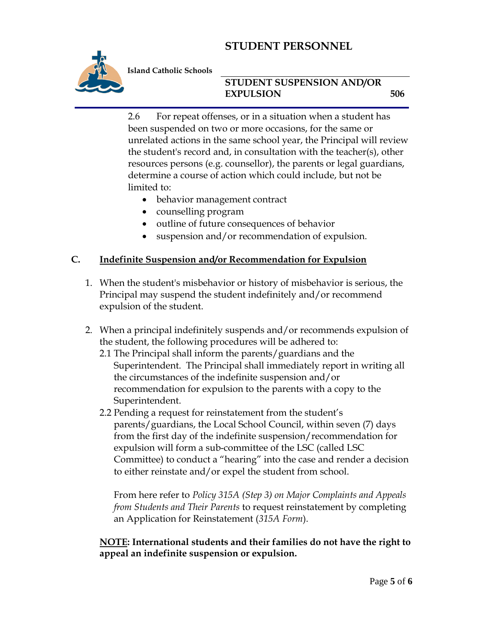

**Island Catholic Schools** 

### **STUDENT SUSPENSION AND/OR EXPULSION 506**

2.6 For repeat offenses, or in a situation when a student has been suspended on two or more occasions, for the same or unrelated actions in the same school year, the Principal will review the student's record and, in consultation with the teacher(s), other resources persons (e.g. counsellor), the parents or legal guardians, determine a course of action which could include, but not be limited to:

- behavior management contract
- counselling program
- outline of future consequences of behavior
- suspension and/or recommendation of expulsion.

### **C. Indefinite Suspension and/or Recommendation for Expulsion**

- 1. When the student's misbehavior or history of misbehavior is serious, the Principal may suspend the student indefinitely and/or recommend expulsion of the student.
- 2. When a principal indefinitely suspends and/or recommends expulsion of the student, the following procedures will be adhered to:
	- 2.1 The Principal shall inform the parents/guardians and the Superintendent. The Principal shall immediately report in writing all the circumstances of the indefinite suspension and/or recommendation for expulsion to the parents with a copy to the Superintendent.
	- 2.2 Pending a request for reinstatement from the student's parents/guardians, the Local School Council, within seven (7) days from the first day of the indefinite suspension/recommendation for expulsion will form a sub-committee of the LSC (called LSC Committee) to conduct a "hearing" into the case and render a decision to either reinstate and/or expel the student from school.

From here refer to *Policy 315A (Step 3) on Major Complaints and Appeals from Students and Their Parents* to request reinstatement by completing an Application for Reinstatement (*315A Form*).

**NOTE: International students and their families do not have the right to appeal an indefinite suspension or expulsion.**